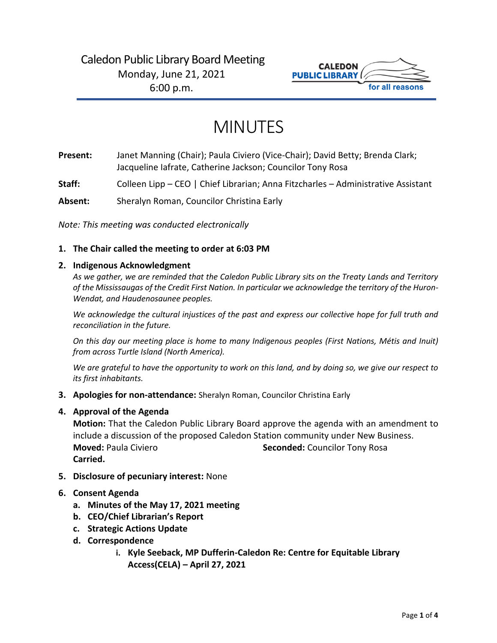# Caledon Public Library Board Meeting Monday, June 21, 2021 6:00 p.m.



# MINUTES

- **Present:** Janet Manning (Chair); Paula Civiero (Vice-Chair); David Betty; Brenda Clark; Jacqueline Iafrate, Catherine Jackson; Councilor Tony Rosa
- **Staff:** Colleen Lipp CEO | Chief Librarian; Anna Fitzcharles Administrative Assistant
- **Absent:** Sheralyn Roman, Councilor Christina Early

*Note: This meeting was conducted electronically*

### **1. The Chair called the meeting to order at 6:03 PM**

#### **2. Indigenous Acknowledgment**

*As we gather, we are reminded that the Caledon Public Library sits on the Treaty Lands and Territory of the Mississaugas of the Credit First Nation. In particular we acknowledge the territory of the Huron-Wendat, and Haudenosaunee peoples.*

*We acknowledge the cultural injustices of the past and express our collective hope for full truth and reconciliation in the future.*

*On this day our meeting place is home to many Indigenous peoples (First Nations, Métis and Inuit) from across Turtle Island (North America).*

*We are grateful to have the opportunity to work on this land, and by doing so, we give our respect to its first inhabitants.*

**3. Apologies for non-attendance:** Sheralyn Roman, Councilor Christina Early

#### **4. Approval of the Agenda**

**Motion:** That the Caledon Public Library Board approve the agenda with an amendment to include a discussion of the proposed Caledon Station community under New Business. **Moved:** Paula Civiero **Seconded:** Councilor Tony Rosa **Carried.**

**5. Disclosure of pecuniary interest:** None

# **6. Consent Agenda**

- **a. Minutes of the May 17, 2021 meeting**
- **b. CEO/Chief Librarian's Report**
- **c. Strategic Actions Update**
- **d. Correspondence**
	- **i. Kyle Seeback, MP Dufferin-Caledon Re: Centre for Equitable Library Access(CELA) – April 27, 2021**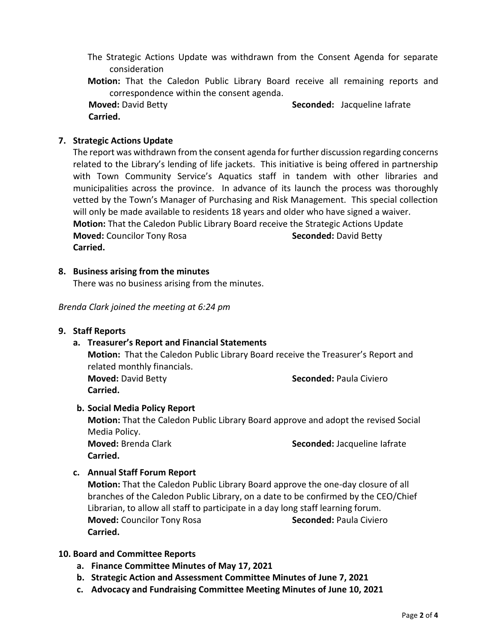- The Strategic Actions Update was withdrawn from the Consent Agenda for separate consideration
- **Motion:** That the Caledon Public Library Board receive all remaining reports and correspondence within the consent agenda.

 **Moved:** David Betty **Seconded:** Jacqueline Iafrate  **Carried.** 

# **7. Strategic Actions Update**

The report was withdrawn from the consent agenda for further discussion regarding concerns related to the Library's lending of life jackets. This initiative is being offered in partnership with Town Community Service's Aquatics staff in tandem with other libraries and municipalities across the province. In advance of its launch the process was thoroughly vetted by the Town's Manager of Purchasing and Risk Management. This special collection will only be made available to residents 18 years and older who have signed a waiver. **Motion:** That the Caledon Public Library Board receive the Strategic Actions Update **Moved:** Councilor Tony Rosa **Seconded:** David Betty **Carried.** 

#### **8. Business arising from the minutes**

There was no business arising from the minutes.

*Brenda Clark joined the meeting at 6:24 pm*

#### **9. Staff Reports**

#### **a. Treasurer's Report and Financial Statements**

**Motion:** That the Caledon Public Library Board receive the Treasurer's Report and related monthly financials.

**Carried.**

**Moved:** David Betty **Seconded: Paula Civiero Seconded: Paula Civiero** 

# **b. Social Media Policy Report**

**Motion:** That the Caledon Public Library Board approve and adopt the revised Social Media Policy.

**Carried.**

**Moved:** Brenda Clark **Seconded:** Jacqueline Iafrate

# **c. Annual Staff Forum Report**

**Motion:** That the Caledon Public Library Board approve the one-day closure of all branches of the Caledon Public Library, on a date to be confirmed by the CEO/Chief Librarian, to allow all staff to participate in a day long staff learning forum. **Moved:** Councilor Tony Rosa **Seconded:** Paula Civiero **Carried.**

# **10. Board and Committee Reports**

- **a. Finance Committee Minutes of May 17, 2021**
- **b. Strategic Action and Assessment Committee Minutes of June 7, 2021**
- **c. Advocacy and Fundraising Committee Meeting Minutes of June 10, 2021**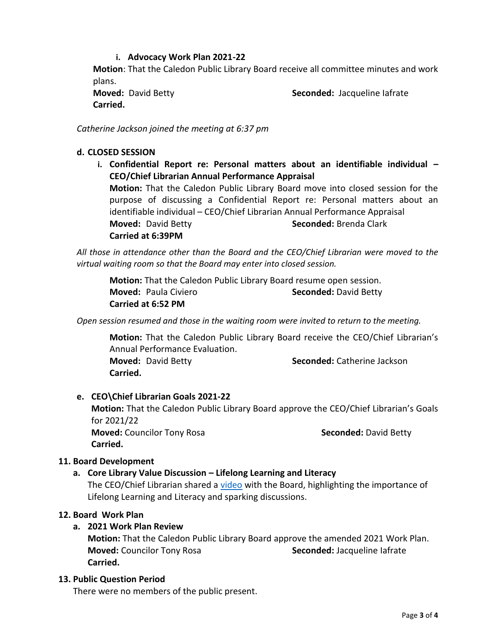# **i. Advocacy Work Plan 2021-22**

**Motion**: That the Caledon Public Library Board receive all committee minutes and work plans.

**Carried.** 

**Moved:** David Betty **Seconded:** Jacqueline Iafrate

*Catherine Jackson joined the meeting at 6:37 pm*

### **d. CLOSED SESSION**

**i. Confidential Report re: Personal matters about an identifiable individual – CEO/Chief Librarian Annual Performance Appraisal Motion:** That the Caledon Public Library Board move into closed session for the purpose of discussing a Confidential Report re: Personal matters about an identifiable individual – CEO/Chief Librarian Annual Performance Appraisal **Moved:** David Betty **Seconded:** Brenda Clark **Carried at 6:39PM**

*All those in attendance other than the Board and the CEO/Chief Librarian were moved to the virtual waiting room so that the Board may enter into closed session.*

**Motion:** That the Caledon Public Library Board resume open session. **Moved:** Paula Civiero **Seconded:** David Betty **Carried at 6:52 PM**

*Open session resumed and those in the waiting room were invited to return to the meeting.*

**Motion:** That the Caledon Public Library Board receive the CEO/Chief Librarian's Annual Performance Evaluation. **Moved:** David Betty **Seconded:** Catherine Jackson **Carried.** 

# **e. CEO\Chief Librarian Goals 2021-22**

**Motion:** That the Caledon Public Library Board approve the CEO/Chief Librarian's Goals for 2021/22 **Moved:** Councilor Tony Rosa **Seconded: David Betty Seconded: David Betty Carried.** 

#### **11. Board Development**

# **a. Core Library Value Discussion – Lifelong Learning and Literacy**

The CEO/Chief Librarian shared a [video](https://www.youtube.com/watch?v=PvUdARItXI0) with the Board, highlighting the importance of Lifelong Learning and Literacy and sparking discussions.

#### **12. Board Work Plan**

### **a. 2021 Work Plan Review**

**Motion:** That the Caledon Public Library Board approve the amended 2021 Work Plan. **Moved:** Councilor Tony Rosa **Seconded:** Jacqueline Iafrate **Carried.**

#### **13. Public Question Period**

There were no members of the public present.